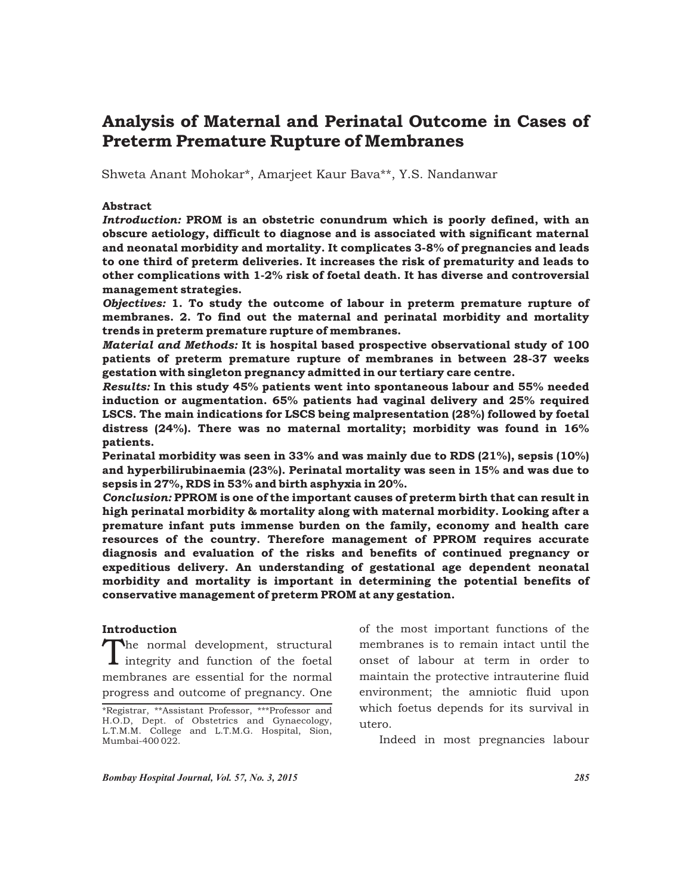# Analysis of Maternal and Perinatal Outcome in Cases of Preterm Premature Rupture of Membranes

Shweta Anant Mohokar\*, Amarjeet Kaur Bava\*\*, Y.S. Nandanwar

## Abstract

*Introduction:* PROM is an obstetric conundrum which is poorly defined, with an obscure aetiology, difficult to diagnose and is associated with significant maternal and neonatal morbidity and mortality. It complicates 3-8% of pregnancies and leads to one third of preterm deliveries. It increases the risk of prematurity and leads to other complications with 1-2% risk of foetal death. It has diverse and controversial management strategies.

*Objectives:* 1. To study the outcome of labour in preterm premature rupture of membranes. 2. To find out the maternal and perinatal morbidity and mortality trends in preterm premature rupture of membranes.

*Material and Methods:* It is hospital based prospective observational study of 100 patients of preterm premature rupture of membranes in between 28-37 weeks gestation with singleton pregnancy admitted in our tertiary care centre.

*Results:* In this study 45% patients went into spontaneous labour and 55% needed induction or augmentation. 65% patients had vaginal delivery and 25% required LSCS. The main indications for LSCS being malpresentation (28%) followed by foetal distress (24%). There was no maternal mortality; morbidity was found in 16% patients.

Perinatal morbidity was seen in 33% and was mainly due to RDS (21%), sepsis (10%) and hyperbilirubinaemia (23%). Perinatal mortality was seen in 15% and was due to sepsis in 27%, RDS in 53% and birth asphyxia in 20%.

*Conclusion:* PPROM is one of the important causes of preterm birth that can result in high perinatal morbidity & mortality along with maternal morbidity. Looking after a premature infant puts immense burden on the family, economy and health care resources of the country. Therefore management of PPROM requires accurate diagnosis and evaluation of the risks and benefits of continued pregnancy or expeditious delivery. An understanding of gestational age dependent neonatal morbidity and mortality is important in determining the potential benefits of conservative management of preterm PROM at any gestation.

#### Introduction

 $\prod$ he normal development, structural integrity and function of the foetal membranes are essential for the normal progress and outcome of pregnancy. One

of the most important functions of the membranes is to remain intact until the onset of labour at term in order to maintain the protective intrauterine fluid environment; the amniotic fluid upon which foetus depends for its survival in utero.

Indeed in most pregnancies labour

*Bombay Hospital Journal, Vol. 57, No. 3, 2015 285*

<sup>\*</sup>Registrar, \*\*Assistant Professor, \*\*\*Professor and H.O.D, Dept. of Obstetrics and Gynaecology, L.T.M.M. College and L.T.M.G. Hospital, Sion, Mumbai-400 022.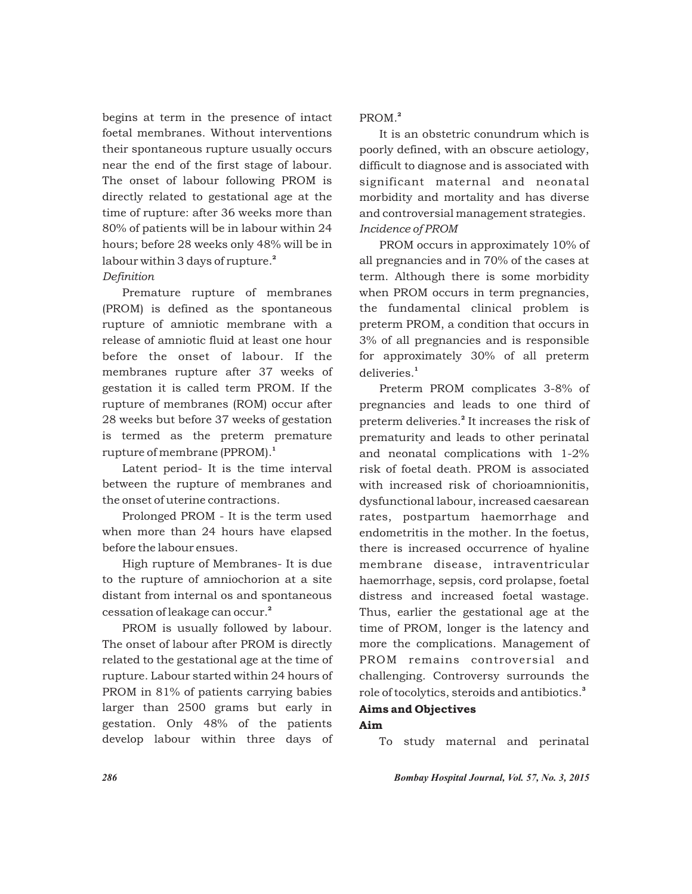begins at term in the presence of intact foetal membranes. Without interventions their spontaneous rupture usually occurs near the end of the first stage of labour. The onset of labour following PROM is directly related to gestational age at the time of rupture: after 36 weeks more than 80% of patients will be in labour within 24 hours; before 28 weeks only 48% will be in labour within 3 days of rupture.<sup>2</sup>

### *Definition*

Premature rupture of membranes (PROM) is defined as the spontaneous rupture of amniotic membrane with a release of amniotic fluid at least one hour before the onset of labour. If the membranes rupture after 37 weeks of gestation it is called term PROM. If the rupture of membranes (ROM) occur after 28 weeks but before 37 weeks of gestation is termed as the preterm premature rupture of membrane (PPROM).<sup>1</sup>

Latent period- It is the time interval between the rupture of membranes and the onset of uterine contractions.

Prolonged PROM - It is the term used when more than 24 hours have elapsed before the labour ensues.

High rupture of Membranes- It is due to the rupture of amniochorion at a site distant from internal os and spontaneous cessation of leakage can occur.<sup>2</sup>

PROM is usually followed by labour. The onset of labour after PROM is directly related to the gestational age at the time of rupture. Labour started within 24 hours of PROM in 81% of patients carrying babies larger than 2500 grams but early in gestation. Only 48% of the patients develop labour within three days of 2 PROM.

It is an obstetric conundrum which is poorly defined, with an obscure aetiology, difficult to diagnose and is associated with significant maternal and neonatal morbidity and mortality and has diverse and controversial management strategies. *Incidence of PROM*

PROM occurs in approximately 10% of all pregnancies and in 70% of the cases at term. Although there is some morbidity when PROM occurs in term pregnancies, the fundamental clinical problem is preterm PROM, a condition that occurs in 3% of all pregnancies and is responsible for approximately 30% of all preterm deliveries.<sup>1</sup>

Preterm PROM complicates 3-8% of pregnancies and leads to one third of preterm deliveries.<sup>2</sup> It increases the risk of prematurity and leads to other perinatal and neonatal complications with 1-2% risk of foetal death. PROM is associated with increased risk of chorioamnionitis, dysfunctional labour, increased caesarean rates, postpartum haemorrhage and endometritis in the mother. In the foetus, there is increased occurrence of hyaline membrane disease, intraventricular haemorrhage, sepsis, cord prolapse, foetal distress and increased foetal wastage. Thus, earlier the gestational age at the time of PROM, longer is the latency and more the complications. Management of PROM remains controversial and challenging. Controversy surrounds the role of tocolytics, steroids and antibiotics.<sup>3</sup>

# Aims and Objectives

# Aim

To study maternal and perinatal

*286 Bombay Hospital Journal, Vol. 57, No. 3, 2015*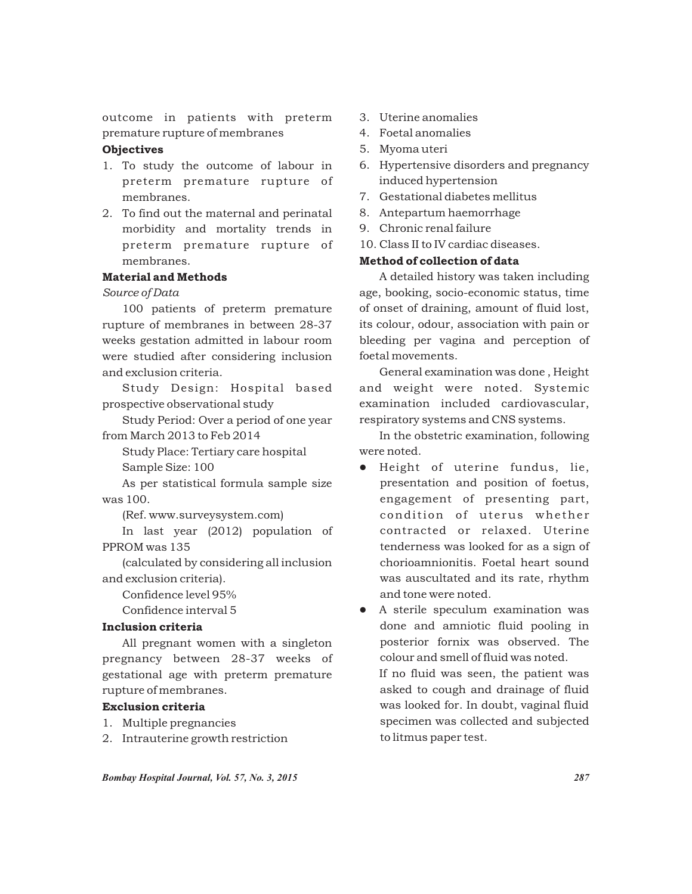outcome in patients with preterm premature rupture of membranes

# **Objectives**

- 1. To study the outcome of labour in preterm premature rupture of membranes.
- 2. To find out the maternal and perinatal morbidity and mortality trends in preterm premature rupture of membranes.

# Material and Methods

*Source of Data*

100 patients of preterm premature rupture of membranes in between 28-37 weeks gestation admitted in labour room were studied after considering inclusion and exclusion criteria.

Study Design: Hospital based prospective observational study

Study Period: Over a period of one year from March 2013 to Feb 2014

Study Place: Tertiary care hospital

Sample Size: 100

As per statistical formula sample size was 100.

(Ref. www.surveysystem.com)

In last year (2012) population of PPROM was 135

(calculated by considering all inclusion and exclusion criteria).

Confidence level 95%

Confidence interval 5

## Inclusion criteria

All pregnant women with a singleton pregnancy between 28-37 weeks of gestational age with preterm premature rupture of membranes.

# Exclusion criteria

- 1. Multiple pregnancies
- 2. Intrauterine growth restriction
- 3. Uterine anomalies
- 4. Foetal anomalies
- 5. Myoma uteri
- 6. Hypertensive disorders and pregnancy induced hypertension
- 7. Gestational diabetes mellitus
- 8. Antepartum haemorrhage
- 9. Chronic renal failure
- 10. Class II to IV cardiac diseases.

# Method of collection of data

A detailed history was taken including age, booking, socio-economic status, time of onset of draining, amount of fluid lost, its colour, odour, association with pain or bleeding per vagina and perception of foetal movements.

General examination was done , Height and weight were noted. Systemic examination included cardiovascular, respiratory systems and CNS systems.

In the obstetric examination, following were noted.

 $\bullet$  Height of uterine fundus, lie, presentation and position of foetus, engagement of presenting part, condition of uterus whether contracted or relaxed. Uterine tenderness was looked for as a sign of chorioamnionitis. Foetal heart sound was auscultated and its rate, rhythm and tone were noted.

• A sterile speculum examination was done and amniotic fluid pooling in posterior fornix was observed. The colour and smell of fluid was noted. If no fluid was seen, the patient was

asked to cough and drainage of fluid was looked for. In doubt, vaginal fluid specimen was collected and subjected to litmus paper test.

*Bombay Hospital Journal, Vol. 57, No. 3, 2015 287*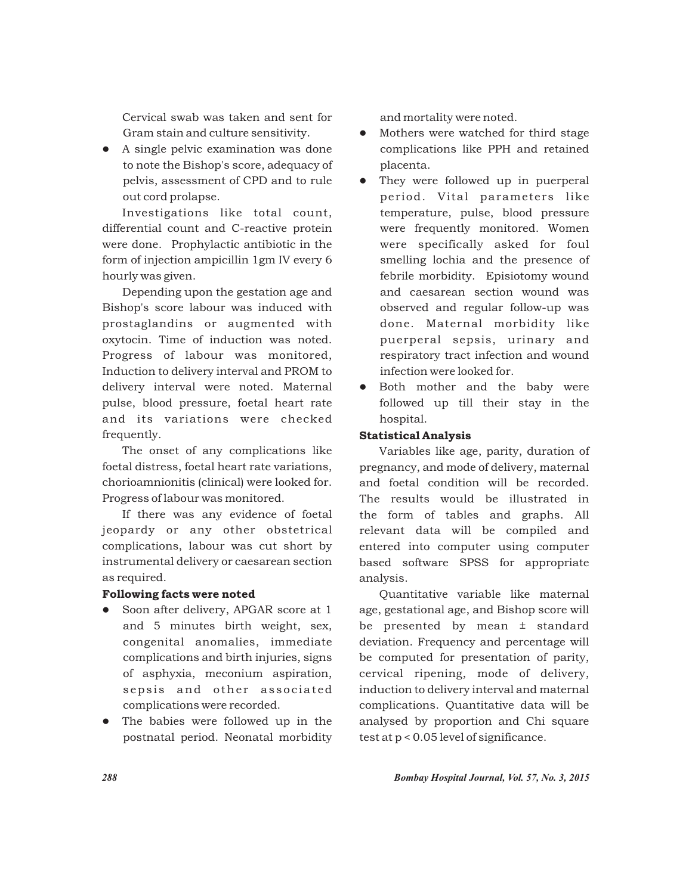Cervical swab was taken and sent for Gram stain and culture sensitivity.

• A single pelvic examination was done to note the Bishop's score, adequacy of pelvis, assessment of CPD and to rule out cord prolapse.

Investigations like total count, differential count and C-reactive protein were done. Prophylactic antibiotic in the form of injection ampicillin 1gm IV every 6 hourly was given.

Depending upon the gestation age and Bishop's score labour was induced with prostaglandins or augmented with oxytocin. Time of induction was noted. Progress of labour was monitored, Induction to delivery interval and PROM to delivery interval were noted. Maternal pulse, blood pressure, foetal heart rate and its variations were checked frequently.

The onset of any complications like foetal distress, foetal heart rate variations, chorioamnionitis (clinical) were looked for. Progress of labour was monitored.

If there was any evidence of foetal jeopardy or any other obstetrical complications, labour was cut short by instrumental delivery or caesarean section as required.

#### Following facts were noted

- Soon after delivery, APGAR score at 1 and 5 minutes birth weight, sex, congenital anomalies, immediate complications and birth injuries, signs of asphyxia, meconium aspiration, sepsis and other associated complications were recorded.
- The babies were followed up in the postnatal period. Neonatal morbidity

and mortality were noted.

- Mothers were watched for third stage complications like PPH and retained placenta.
- They were followed up in puerperal period. Vital parameters like temperature, pulse, blood pressure were frequently monitored. Women were specifically asked for foul smelling lochia and the presence of febrile morbidity. Episiotomy wound and caesarean section wound was observed and regular follow-up was done. Maternal morbidity like puerperal sepsis, urinary and respiratory tract infection and wound infection were looked for.
- Both mother and the baby were followed up till their stay in the hospital.

# Statistical Analysis

Variables like age, parity, duration of pregnancy, and mode of delivery, maternal and foetal condition will be recorded. The results would be illustrated in the form of tables and graphs. All relevant data will be compiled and entered into computer using computer based software SPSS for appropriate analysis.

Quantitative variable like maternal age, gestational age, and Bishop score will be presented by mean ± standard deviation. Frequency and percentage will be computed for presentation of parity, cervical ripening, mode of delivery, induction to delivery interval and maternal complications. Quantitative data will be analysed by proportion and Chi square test at p < 0.05 level of significance.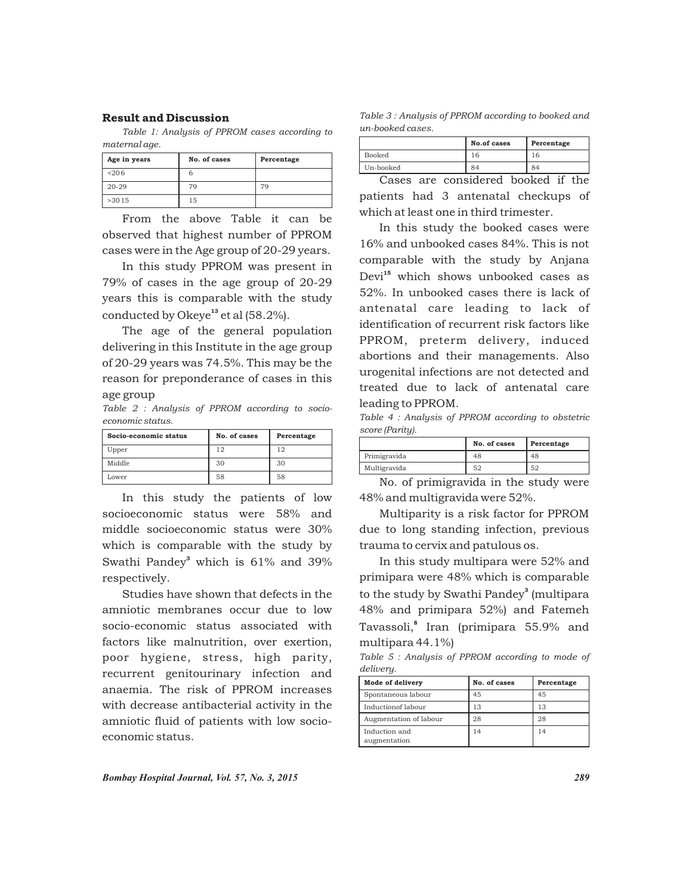#### Result and Discussion

*Table 1: Analysis of PPROM cases according to maternal age.*

| Age in years | No. of cases | Percentage |
|--------------|--------------|------------|
| < 206        |              |            |
| $20 - 29$    | 79           | 79         |
| >3015        | 15           |            |

From the above Table it can be observed that highest number of PPROM cases were in the Age group of 20-29 years.

In this study PPROM was present in 79% of cases in the age group of 20-29 years this is comparable with the study conducted by Okeye<sup>13</sup> et al  $(58.2\%)$ .

The age of the general population delivering in this Institute in the age group of 20-29 years was 74.5%. This may be the reason for preponderance of cases in this age group

*Table 2 : Analysis of PPROM according to socioeconomic status.*

| Socio-economic status | No. of cases | Percentage |
|-----------------------|--------------|------------|
| Upper                 | 12           | 12         |
| Middle                | 30           | 30         |
| Lower                 | 58           | 58         |

In this study the patients of low socioeconomic status were 58% and middle socioeconomic status were 30% which is comparable with the study by Swathi Pandey $^3$  which is 61% and 39% respectively.

Studies have shown that defects in the amniotic membranes occur due to low socio-economic status associated with factors like malnutrition, over exertion, poor hygiene, stress, high parity, recurrent genitourinary infection and anaemia. The risk of PPROM increases with decrease antibacterial activity in the amniotic fluid of patients with low socioeconomic status.

*Table 3 : Analysis of PPROM according to booked and un-booked cases.*

|           | No.of cases | Percentage |
|-----------|-------------|------------|
| Booked    | I h         |            |
| Un-booked | 84          | 84         |

Cases are considered booked if the patients had 3 antenatal checkups of which at least one in third trimester.

In this study the booked cases were 16% and unbooked cases 84%. This is not comparable with the study by Anjana Devi<sup>15</sup> which shows unbooked cases as 52%. In unbooked cases there is lack of antenatal care leading to lack of identification of recurrent risk factors like PPROM, preterm delivery, induced abortions and their managements. Also urogenital infections are not detected and treated due to lack of antenatal care leading to PPROM.

*Table 4 : Analysis of PPROM according to obstetric score (Parity).*

|              | No. of cases | Percentage |
|--------------|--------------|------------|
| Primigravida | 48           | 48         |
| Multigravida | 52           | 52         |

No. of primigravida in the study were 48% and multigravida were 52%.

Multiparity is a risk factor for PPROM due to long standing infection, previous trauma to cervix and patulous os.

In this study multipara were 52% and primipara were 48% which is comparable to the study by Swathi Pandey<sup>3</sup> (multipara 48% and primipara 52%) and Fatemeh Tavassoli,<sup>8</sup> Iran (primipara 55.9% and multipara 44.1%)

*Table 5 : Analysis of PPROM according to mode of delivery.*

| Mode of delivery              | No. of cases | Percentage |
|-------------------------------|--------------|------------|
| Spontaneous labour            | 45           | 45         |
| Inductionof labour            | 13           | 13         |
| Augmentation of labour        | 28           | 28         |
| Induction and<br>augmentation | 14           | 14         |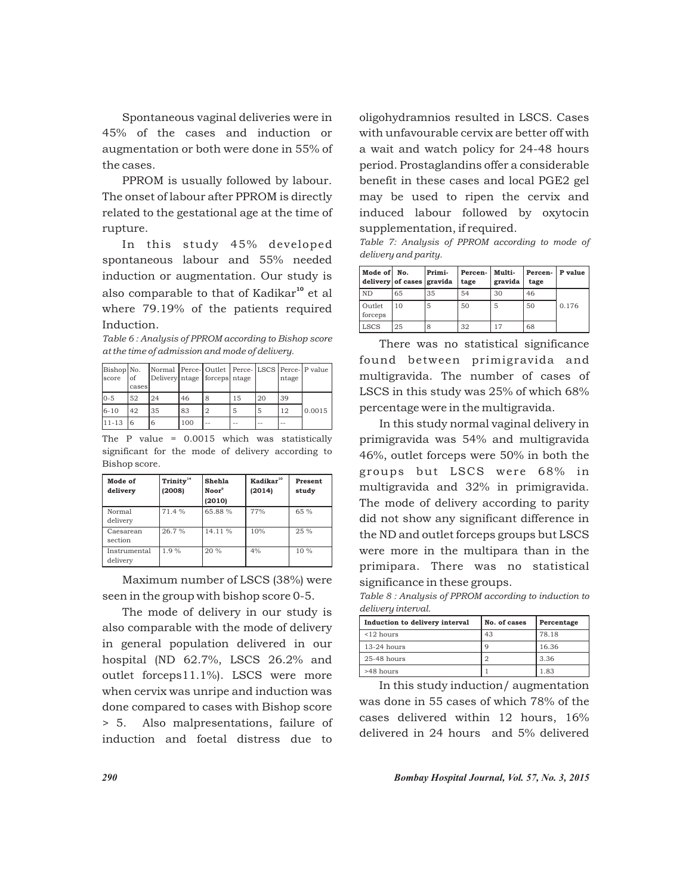Spontaneous vaginal deliveries were in 45% of the cases and induction or augmentation or both were done in 55% of the cases.

PPROM is usually followed by labour. The onset of labour after PPROM is directly related to the gestational age at the time of rupture.

In this study 45% developed spontaneous labour and 55% needed induction or augmentation. Our study is also comparable to that of Kadikar<sup>10</sup> et al where 79.19% of the patients required Induction.

*Table 6 : Analysis of PPROM according to Bishop score at the time of admission and mode of delivery.*

| Bishop No.<br><b>Iscore</b> | οf<br>cases | Delivery ntage   forceps   ntage |     |    |    |    | ntage  | Normal Perce-Outlet Perce-LSCS Perce-P value |
|-----------------------------|-------------|----------------------------------|-----|----|----|----|--------|----------------------------------------------|
| $10-5$                      | 52          | 24                               | 46  | 8  | 15 | 20 | 39     |                                              |
| $16 - 10$                   | 42          | 35                               | 83  |    | 5  | 5  | 12     | 0.0015                                       |
| $11 - 13$                   | 6           | 6                                | 100 | -- | -- | -- | $\sim$ |                                              |

The P value = 0.0015 which was statistically significant for the mode of delivery according to Bishop score.

| Mode of<br>delivery      | Trinity <sup>14</sup><br>(2008) | Shehla<br>Noor <sup>9</sup><br>(2010) | Kadikar <sup>10</sup><br>(2014) | Present<br>study |
|--------------------------|---------------------------------|---------------------------------------|---------------------------------|------------------|
| Normal<br>delivery       | 71.4%                           | 65.88%                                | 77%                             | 65 %             |
| Caesarean<br>section     | 26.7%                           | 14.11%                                | 10%                             | 25%              |
| Instrumental<br>delivery | 1.9%                            | 20%                                   | 4%                              | $10\%$           |

Maximum number of LSCS (38%) were seen in the group with bishop score 0-5.

The mode of delivery in our study is also comparable with the mode of delivery in general population delivered in our hospital (ND 62.7%, LSCS 26.2% and outlet forceps11.1%). LSCS were more when cervix was unripe and induction was done compared to cases with Bishop score > 5. Also malpresentations, failure of induction and foetal distress due to

oligohydramnios resulted in LSCS. Cases with unfavourable cervix are better off with a wait and watch policy for 24-48 hours period. Prostaglandins offer a considerable benefit in these cases and local PGE2 gel may be used to ripen the cervix and induced labour followed by oxytocin supplementation, if required.

*Table 7: Analysis of PPROM according to mode of delivery and parity.*

| Mode of No.       | delivery of cases gravida | Primi- | Percen-<br>tage | <b>Multi-</b><br>gravida | Percen-<br>tage | P value |
|-------------------|---------------------------|--------|-----------------|--------------------------|-----------------|---------|
| ND                | 65                        | 35     | 54              | 30                       | 46              |         |
| Outlet<br>forceps | 10                        | 5      | 50              | 5                        | 50              | 0.176   |
| <b>LSCS</b>       | 25                        | 8      | 32              |                          | 68              |         |

There was no statistical significance found between primigravida and multigravida. The number of cases of LSCS in this study was 25% of which 68% percentage were in the multigravida.

In this study normal vaginal delivery in primigravida was 54% and multigravida 46%, outlet forceps were 50% in both the groups but LSCS were 68% in multigravida and 32% in primigravida. The mode of delivery according to parity did not show any significant difference in the ND and outlet forceps groups but LSCS were more in the multipara than in the primipara. There was no statistical significance in these groups.

*Table 8 : Analysis of PPROM according to induction to delivery interval.*

| Induction to delivery interval | No. of cases | Percentage |
|--------------------------------|--------------|------------|
| $<$ 12 hours                   | 43           | 78.18      |
| $13-24$ hours                  | q            | 16.36      |
| $25-48$ hours                  |              | 3.36       |
| >48 hours                      |              | 1.83       |

In this study induction/ augmentation was done in 55 cases of which 78% of the cases delivered within 12 hours, 16% delivered in 24 hours and 5% delivered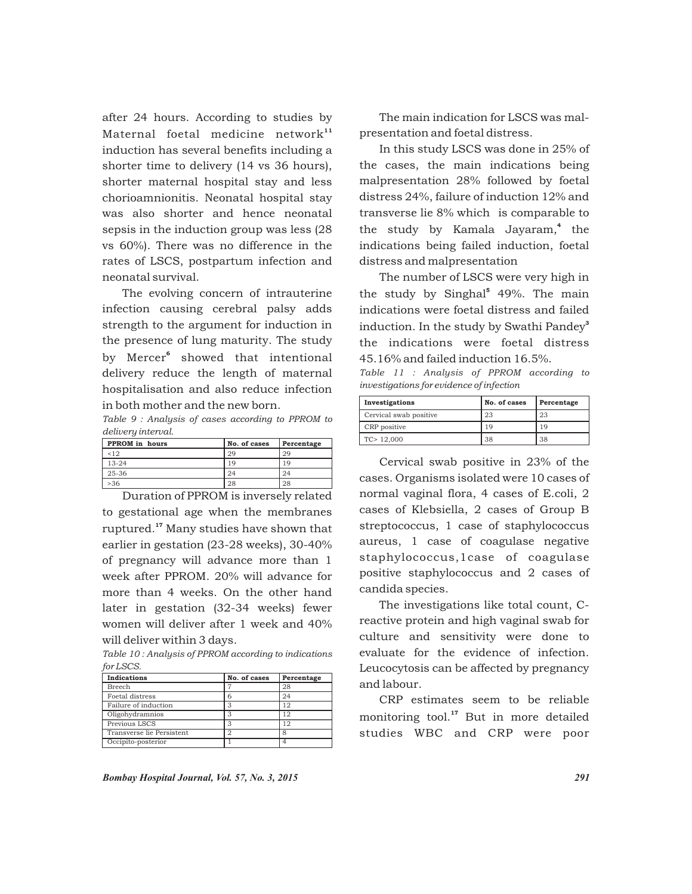after 24 hours. According to studies by Maternal foetal medicine network $11$ induction has several benefits including a shorter time to delivery (14 vs 36 hours), shorter maternal hospital stay and less chorioamnionitis. Neonatal hospital stay was also shorter and hence neonatal sepsis in the induction group was less (28 vs 60%). There was no difference in the rates of LSCS, postpartum infection and neonatal survival.

The evolving concern of intrauterine infection causing cerebral palsy adds strength to the argument for induction in the presence of lung maturity. The study by Mercer<sup>6</sup> showed that intentional delivery reduce the length of maternal hospitalisation and also reduce infection in both mother and the new born.

*Table 9 : Analysis of cases according to PPROM to delivery interval.*

| PPROM in hours | No. of cases | Percentage |
|----------------|--------------|------------|
| 12             | 29           | 29         |
| $13 - 24$      | 19           | 19         |
| 25-36          | 24           | 24         |
| >36            | 28           | 28         |

Duration of PPROM is inversely related to gestational age when the membranes ruptured.<sup>17</sup> Many studies have shown that earlier in gestation (23-28 weeks), 30-40% of pregnancy will advance more than 1 week after PPROM. 20% will advance for more than 4 weeks. On the other hand later in gestation (32-34 weeks) fewer women will deliver after 1 week and 40% will deliver within 3 days.

*Table 10 : Analysis of PPROM according to indications for LSCS.*

| Indications               | No. of cases | Percentage |
|---------------------------|--------------|------------|
| Breech                    |              | 28         |
| Foetal distress           |              | 24         |
| Failure of induction      |              | 12         |
| Oligohydramnios           |              | 12         |
| Previous LSCS             |              | 12         |
| Transverse lie Persistent |              | я          |
| Occipito-posterior        |              |            |

The main indication for LSCS was malpresentation and foetal distress.

In this study LSCS was done in 25% of the cases, the main indications being malpresentation 28% followed by foetal distress 24%, failure of induction 12% and transverse lie 8% which is comparable to the study by Kamala Jayaram,<sup>4</sup> the indications being failed induction, foetal distress and malpresentation

The number of LSCS were very high in the study by Singhal<sup>5</sup> 49%. The main indications were foetal distress and failed induction. In the study by Swathi Pandey<sup>3</sup> the indications were foetal distress 45.16% and failed induction 16.5%.

*Table 11 : Analysis of PPROM according to investigations for evidence of infection*

| Investigations         | No. of cases | Percentage |
|------------------------|--------------|------------|
| Cervical swab positive | 23           | 23         |
| CRP positive           | 19           | 19         |
| TC > 12,000            | 38           | 38         |

Cervical swab positive in 23% of the cases. Organisms isolated were 10 cases of normal vaginal flora, 4 cases of E.coli, 2 cases of Klebsiella, 2 cases of Group B streptococcus, 1 case of staphylococcus aureus, 1 case of coagulase negative staphylococcus,1case of coagulase positive staphylococcus and 2 cases of candida species.

The investigations like total count, Creactive protein and high vaginal swab for culture and sensitivity were done to evaluate for the evidence of infection. Leucocytosis can be affected by pregnancy and labour.

CRP estimates seem to be reliable monitoring tool.<sup>17</sup> But in more detailed studies WBC and CRP were poor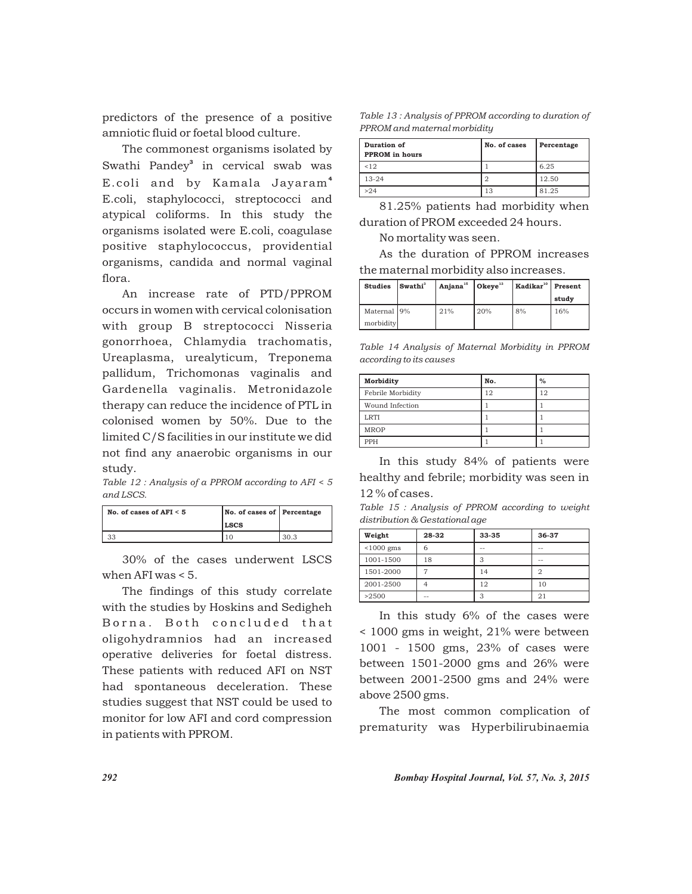predictors of the presence of a positive amniotic fluid or foetal blood culture.

The commonest organisms isolated by Swathi Pandey<sup>3</sup> in cervical swab was E.coli and by Kamala Jayaram<sup>4</sup> E.coli, staphylococci, streptococci and atypical coliforms. In this study the organisms isolated were E.coli, coagulase positive staphylococcus, providential organisms, candida and normal vaginal flora.

An increase rate of PTD/PPROM occurs in women with cervical colonisation with group B streptococci Nisseria gonorrhoea, Chlamydia trachomatis, Ureaplasma, urealyticum, Treponema pallidum, Trichomonas vaginalis and Gardenella vaginalis. Metronidazole therapy can reduce the incidence of PTL in colonised women by 50%. Due to the limited C/S facilities in our institute we did not find any anaerobic organisms in our study.

*Table 12 : Analysis of a PPROM according to AFI < 5 and LSCS.*

| No. of cases of $AFI < 5$ | No. of cases of Percentage<br><b>LSCS</b> |      |
|---------------------------|-------------------------------------------|------|
|                           |                                           | 30.3 |

30% of the cases underwent LSCS when AFI was < 5.

The findings of this study correlate with the studies by Hoskins and Sedigheh Borna. Both concluded that oligohydramnios had an increased operative deliveries for foetal distress. These patients with reduced AFI on NST had spontaneous deceleration. These studies suggest that NST could be used to monitor for low AFI and cord compression in patients with PPROM.

*Table 13 : Analysis of PPROM according to duration of PPROM and maternal morbidity*

| Duration of<br>PPROM in hours | No. of cases | Percentage |
|-------------------------------|--------------|------------|
| < 12                          |              | 6.25       |
| $13 - 24$                     |              | 12.50      |
| >24                           | 13           | 81.25      |

81.25% patients had morbidity when duration of PROM exceeded 24 hours.

No mortality was seen.

As the duration of PPROM increases the maternal morbidity also increases.

| <b>Studies</b> | Swathi <sup>3</sup> | Anjana <sup>15</sup> Okeye <sup>13</sup> |      | Kadikar <sup>10</sup> Present |       |
|----------------|---------------------|------------------------------------------|------|-------------------------------|-------|
|                |                     |                                          |      |                               | study |
| Maternal 9%    |                     | 21%                                      | 120% | 8%                            | 16%   |
| morbidity      |                     |                                          |      |                               |       |

*Table 14 Analysis of Maternal Morbidity in PPROM according to its causes*

| Morbidity         | No. | $\%$ |
|-------------------|-----|------|
| Febrile Morbidity | 12  | 12   |
| Wound Infection   |     |      |
| <b>LRTI</b>       |     |      |
| <b>MROP</b>       |     |      |
| PPH               |     |      |

In this study 84% of patients were healthy and febrile; morbidity was seen in 12 % of cases.

*Table 15 : Analysis of PPROM according to weight distribution & Gestational age*

| Weight       | 28-32 | 33-35 | 36-37  |
|--------------|-------|-------|--------|
| $< 1000$ gms | 6     | $-$   | $\sim$ |
| 1001-1500    | 18    | З     | $\sim$ |
| 1501-2000    |       | 14    | 2      |
| 2001-2500    |       | 12    | 10     |
| >2500        | $-$   |       | 2      |

In this study 6% of the cases were < 1000 gms in weight, 21% were between 1001 - 1500 gms, 23% of cases were between 1501-2000 gms and 26% were between 2001-2500 gms and 24% were above 2500 gms.

The most common complication of prematurity was Hyperbilirubinaemia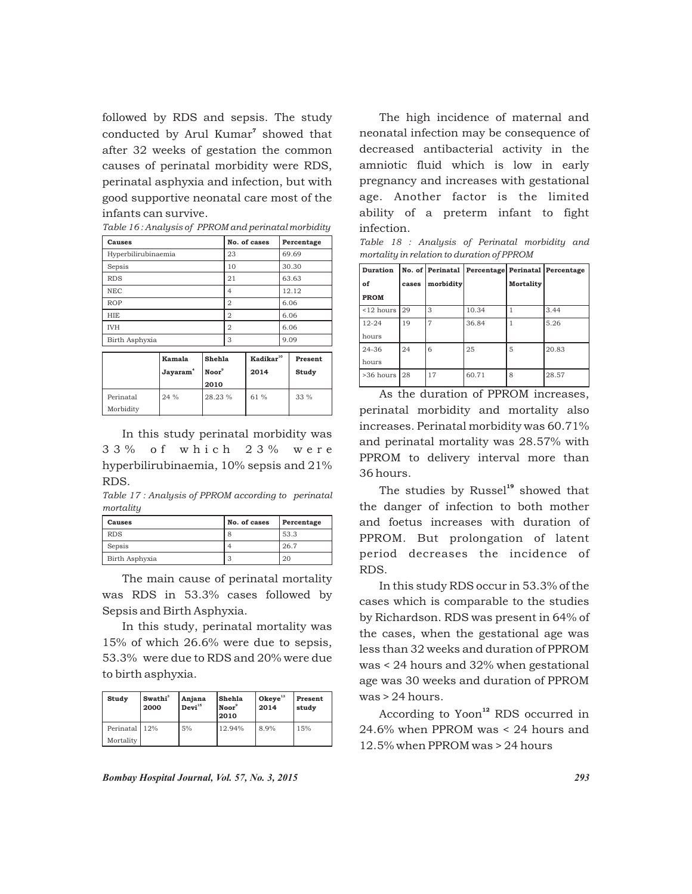followed by RDS and sepsis. The study conducted by Arul Kumar<sup>7</sup> showed that after 32 weeks of gestation the common causes of perinatal morbidity were RDS, perinatal asphyxia and infection, but with good supportive neonatal care most of the infants can survive.

| Causes              | No. of cases | Percentage |  |
|---------------------|--------------|------------|--|
| Hyperbilirubinaemia | 23           | 69.69      |  |
| Sepsis              | 10           | 30.30      |  |
| <b>RDS</b>          | 21           | 63.63      |  |
| <b>NEC</b>          | 4            | 12.12      |  |
| <b>ROP</b>          | 2            | 6.06       |  |
| <b>HIE</b>          | 2            | 6.06       |  |
| <b>IVH</b>          | 2            | 6.06       |  |
| Birth Asphyxia      | 3            | 9.09       |  |
|                     |              |            |  |

|                        | Kamala<br>Jayaram <sup>4</sup> | Shehla<br>Noor <sup>9</sup><br>2010 | Kadikar <sup>10</sup><br>2014 | Present<br>Study |
|------------------------|--------------------------------|-------------------------------------|-------------------------------|------------------|
| Perinatal<br>Morbidity | 24%                            | 28.23%                              | 61%                           | $33\%$           |

In this study perinatal morbidity was 33% of which 23% were hyperbilirubinaemia, 10% sepsis and 21% RDS.

*Table 17 : Analysis of PPROM according to perinatal mortality*

| Causes         | No. of cases | Percentage |
|----------------|--------------|------------|
| <b>RDS</b>     | o            | 53.3       |
| Sepsis         |              | 26.7       |
| Birth Asphyxia | ٠D           | 20         |

The main cause of perinatal mortality was RDS in 53.3% cases followed by Sepsis and Birth Asphyxia.

In this study, perinatal mortality was 15% of which 26.6% were due to sepsis, 53.3% were due to RDS and 20% were due to birth asphyxia.

| Study         | Swathi <sup>3</sup><br>2000 | Anjana<br>Devi <sup>15</sup> | Shehla<br>Noor <sup>9</sup><br> 2010 | $Okeye^{13}$<br>2014 | Present<br>studv |
|---------------|-----------------------------|------------------------------|--------------------------------------|----------------------|------------------|
| Perinatal 12% |                             | 5%                           | 12.94%                               | 8.9%                 | 15%              |
| Mortality     |                             |                              |                                      |                      |                  |

The high incidence of maternal and neonatal infection may be consequence of decreased antibacterial activity in the amniotic fluid which is low in early pregnancy and increases with gestational age. Another factor is the limited ability of a preterm infant to fight infection.

|  |                                            |  | Table 18 : Analysis of Perinatal morbidity and |  |
|--|--------------------------------------------|--|------------------------------------------------|--|
|  | mortality in relation to duration of PPROM |  |                                                |  |

| <b>Duration</b>   |       |           | No. of Perinatal Percentage Perinatal Percentage |                  |       |
|-------------------|-------|-----------|--------------------------------------------------|------------------|-------|
| of                | cases | morbidity |                                                  | <b>Mortality</b> |       |
| <b>PROM</b>       |       |           |                                                  |                  |       |
| $<$ 12 hours      | 29    | 3         | 10.34                                            |                  | 3.44  |
| $12 - 24$         | 19    | 7         | 36.84                                            |                  | 5.26  |
| hours             |       |           |                                                  |                  |       |
| $24 - 36$         | 24    | 6         | 25                                               | 5                | 20.83 |
| hours             |       |           |                                                  |                  |       |
| $>36$ hours $128$ |       | 17        | 60.71                                            | 8                | 28.57 |

As the duration of PPROM increases, perinatal morbidity and mortality also increases. Perinatal morbidity was 60.71% and perinatal mortality was 28.57% with PPROM to delivery interval more than 36 hours.

The studies by Russel<sup>19</sup> showed that the danger of infection to both mother and foetus increases with duration of PPROM. But prolongation of latent period decreases the incidence of RDS.

In this study RDS occur in 53.3% of the cases which is comparable to the studies by Richardson. RDS was present in 64% of the cases, when the gestational age was less than 32 weeks and duration of PPROM was < 24 hours and 32% when gestational age was 30 weeks and duration of PPROM was > 24 hours.

According to Yoon<sup>12</sup> RDS occurred in 24.6% when PPROM was < 24 hours and 12.5% when PPROM was > 24 hours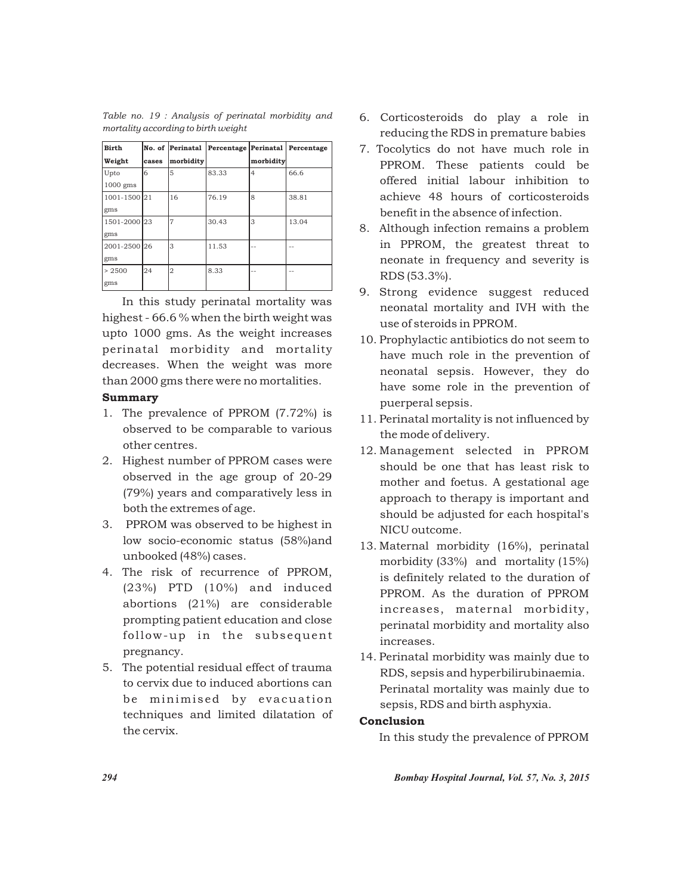| <b>Birth</b> |       | No. of Perinatal | Percentage Perinatal Percentage |                |       |
|--------------|-------|------------------|---------------------------------|----------------|-------|
| Weight       | cases | morbidity        |                                 | morbidity      |       |
| Upto         | 6     | 5                | 83.33                           | $\overline{4}$ | 66.6  |
| 1000 gms     |       |                  |                                 |                |       |
| 1001-1500 21 |       | 16               | 76.19                           | 8              | 38.81 |
| gms          |       |                  |                                 |                |       |
| 1501-2000 23 |       |                  | 30.43                           | 3              | 13.04 |
| gms          |       |                  |                                 |                |       |
| 2001-2500 26 |       | 3                | 11.53                           | --             | --    |
| gms          |       |                  |                                 |                |       |
| > 2500       | 24    | $\overline{2}$   | 8.33                            | --             | --    |
| gms          |       |                  |                                 |                |       |

*Table no. 19 : Analysis of perinatal morbidity and mortality according to birth weight*

In this study perinatal mortality was highest - 66.6 % when the birth weight was upto 1000 gms. As the weight increases perinatal morbidity and mortality decreases. When the weight was more than 2000 gms there were no mortalities.

# Summary

- 1. The prevalence of PPROM (7.72%) is observed to be comparable to various other centres.
- 2. Highest number of PPROM cases were observed in the age group of 20-29 (79%) years and comparatively less in both the extremes of age.
- 3. PPROM was observed to be highest in low socio-economic status (58%)and unbooked (48%) cases.
- 4. The risk of recurrence of PPROM, (23%) PTD (10%) and induced abortions (21%) are considerable prompting patient education and close follow-up in the subsequent pregnancy.
- 5. The potential residual effect of trauma to cervix due to induced abortions can be minimised by evacuation techniques and limited dilatation of the cervix.
- 6. Corticosteroids do play a role in reducing the RDS in premature babies
- 7. Tocolytics do not have much role in PPROM. These patients could be offered initial labour inhibition to achieve 48 hours of corticosteroids benefit in the absence of infection.
- 8. Although infection remains a problem in PPROM, the greatest threat to neonate in frequency and severity is RDS (53.3%).
- 9. Strong evidence suggest reduced neonatal mortality and IVH with the use of steroids in PPROM.
- 10. Prophylactic antibiotics do not seem to have much role in the prevention of neonatal sepsis. However, they do have some role in the prevention of puerperal sepsis.
- 11. Perinatal mortality is not influenced by the mode of delivery.
- 12. Management selected in PPROM should be one that has least risk to mother and foetus. A gestational age approach to therapy is important and should be adjusted for each hospital's NICU outcome.
- 13. Maternal morbidity (16%), perinatal morbidity (33%) and mortality (15%) is definitely related to the duration of PPROM. As the duration of PPROM increases, maternal morbidity, perinatal morbidity and mortality also increases.
- 14. Perinatal morbidity was mainly due to RDS, sepsis and hyperbilirubinaemia. Perinatal mortality was mainly due to sepsis, RDS and birth asphyxia.

## Conclusion

In this study the prevalence of PPROM

*294 Bombay Hospital Journal, Vol. 57, No. 3, 2015*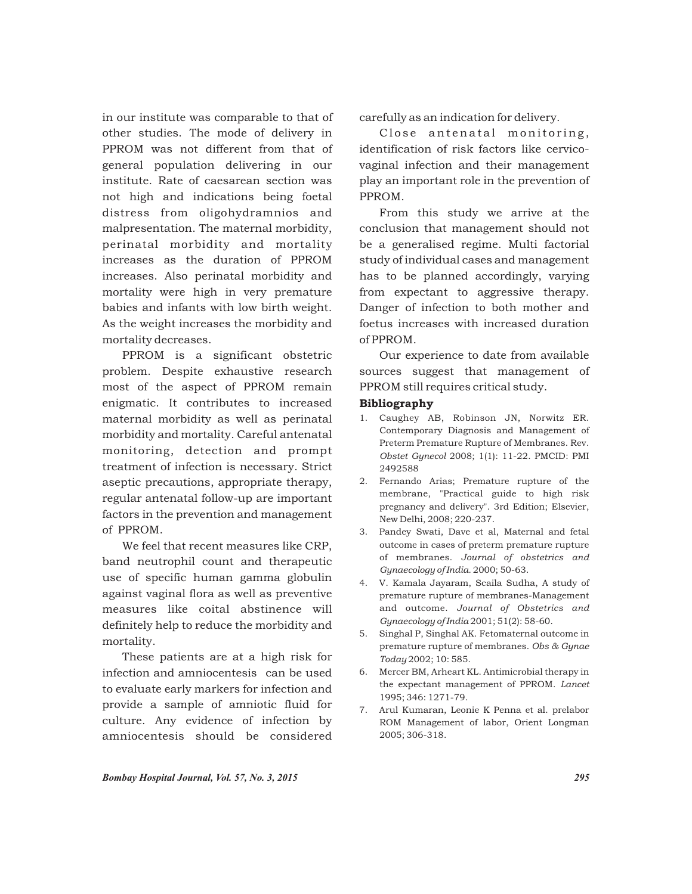in our institute was comparable to that of other studies. The mode of delivery in PPROM was not different from that of general population delivering in our institute. Rate of caesarean section was not high and indications being foetal distress from oligohydramnios and malpresentation. The maternal morbidity, perinatal morbidity and mortality increases as the duration of PPROM increases. Also perinatal morbidity and mortality were high in very premature babies and infants with low birth weight. As the weight increases the morbidity and mortality decreases.

PPROM is a significant obstetric problem. Despite exhaustive research most of the aspect of PPROM remain enigmatic. It contributes to increased maternal morbidity as well as perinatal morbidity and mortality. Careful antenatal monitoring, detection and prompt treatment of infection is necessary. Strict aseptic precautions, appropriate therapy, regular antenatal follow-up are important factors in the prevention and management of PPROM.

We feel that recent measures like CRP, band neutrophil count and therapeutic use of specific human gamma globulin against vaginal flora as well as preventive measures like coital abstinence will definitely help to reduce the morbidity and mortality.

These patients are at a high risk for infection and amniocentesis can be used to evaluate early markers for infection and provide a sample of amniotic fluid for culture. Any evidence of infection by amniocentesis should be considered

carefully as an indication for delivery.

Close antenatal monitoring, identification of risk factors like cervicovaginal infection and their management play an important role in the prevention of PPROM.

From this study we arrive at the conclusion that management should not be a generalised regime. Multi factorial study of individual cases and management has to be planned accordingly, varying from expectant to aggressive therapy. Danger of infection to both mother and foetus increases with increased duration of PPROM.

Our experience to date from available sources suggest that management of PPROM still requires critical study.

### Bibliography

- 1. Caughey AB, Robinson JN, Norwitz ER. Contemporary Diagnosis and Management of Preterm Premature Rupture of Membranes. Rev. *Obstet Gynecol* 2008; 1(1): 11-22. PMCID: PMI 2492588
- 2. Fernando Arias; Premature rupture of the membrane, "Practical guide to high risk pregnancy and delivery". 3rd Edition; Elsevier, New Delhi, 2008; 220-237.
- 3. Pandey Swati, Dave et al, Maternal and fetal outcome in cases of preterm premature rupture of membranes. *Journal of obstetrics and Gynaecology of India.* 2000; 50-63.
- 4. V. Kamala Jayaram, Scaila Sudha, A study of premature rupture of membranes-Management and outcome. *Journal of Obstetrics and Gynaecology of India* 2001; 51(2): 58-60.
- 5. Singhal P, Singhal AK. Fetomaternal outcome in premature rupture of membranes. *Obs & Gynae Today* 2002; 10: 585.
- 6. Mercer BM, Arheart KL. Antimicrobial therapy in the expectant management of PPROM. *Lancet* 1995; 346: 1271-79.
- 7. Arul Kumaran, Leonie K Penna et al. prelabor ROM Management of labor, Orient Longman 2005; 306-318.